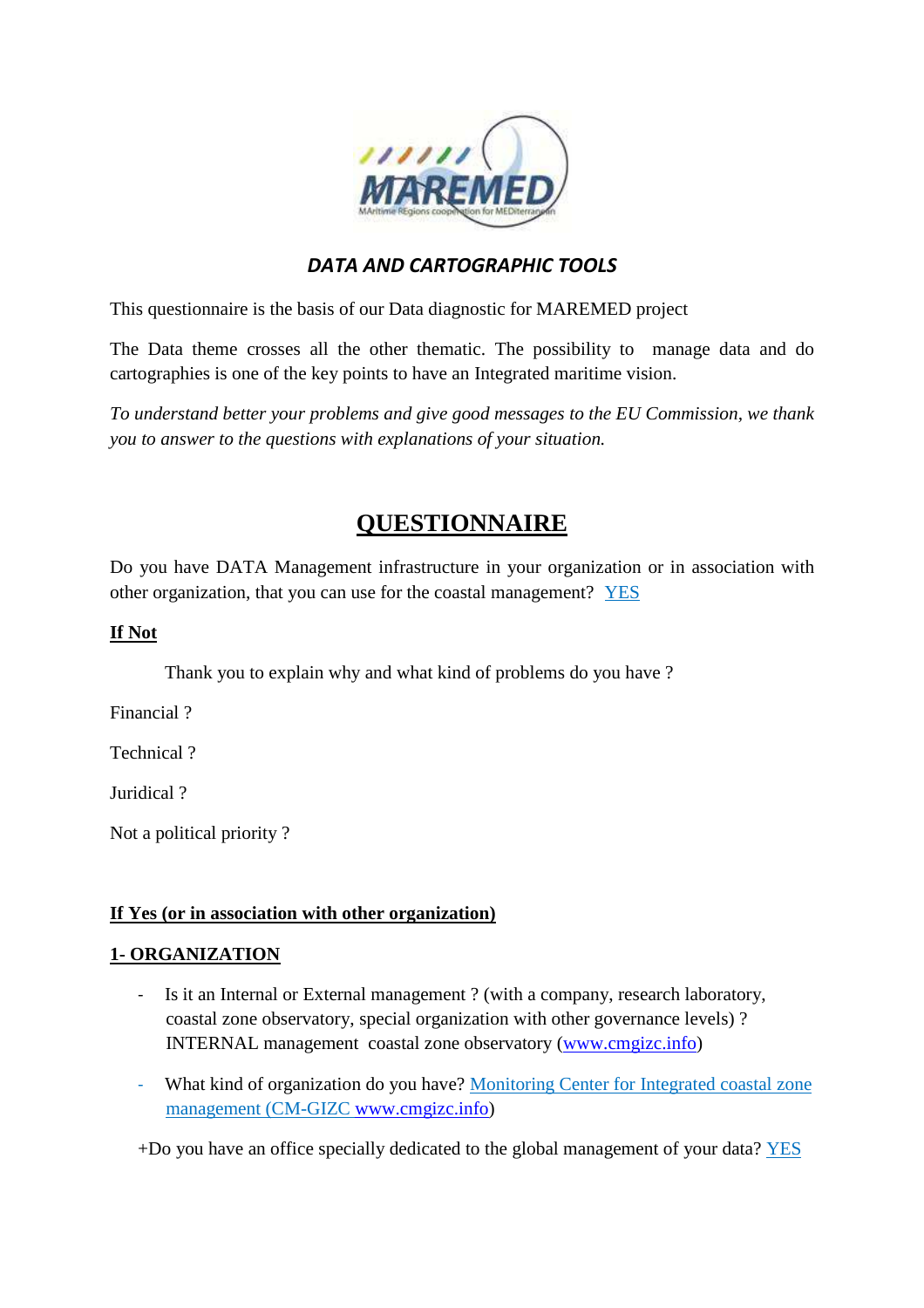

# *DATA AND CARTOGRAPHIC TOOLS*

This questionnaire is the basis of our Data diagnostic for MAREMED project

The Data theme crosses all the other thematic. The possibility to manage data and do cartographies is one of the key points to have an Integrated maritime vision.

*To understand better your problems and give good messages to the EU Commission, we thank you to answer to the questions with explanations of your situation.* 

# **QUESTIONNAIRE**

Do you have DATA Management infrastructure in your organization or in association with other organization, that you can use for the coastal management? YES

### **If Not**

Thank you to explain why and what kind of problems do you have ?

Financial ?

Technical ?

Juridical ?

Not a political priority ?

#### **If Yes (or in association with other organization)**

### **1- ORGANIZATION**

- Is it an Internal or External management ? (with a company, research laboratory, coastal zone observatory, special organization with other governance levels) ? INTERNAL management coastal zone observatory (www.cmgizc.info)
- What kind of organization do you have? Monitoring Center for Integrated coastal zone management (CM-GIZC www.cmgizc.info)

+Do you have an office specially dedicated to the global management of your data? YES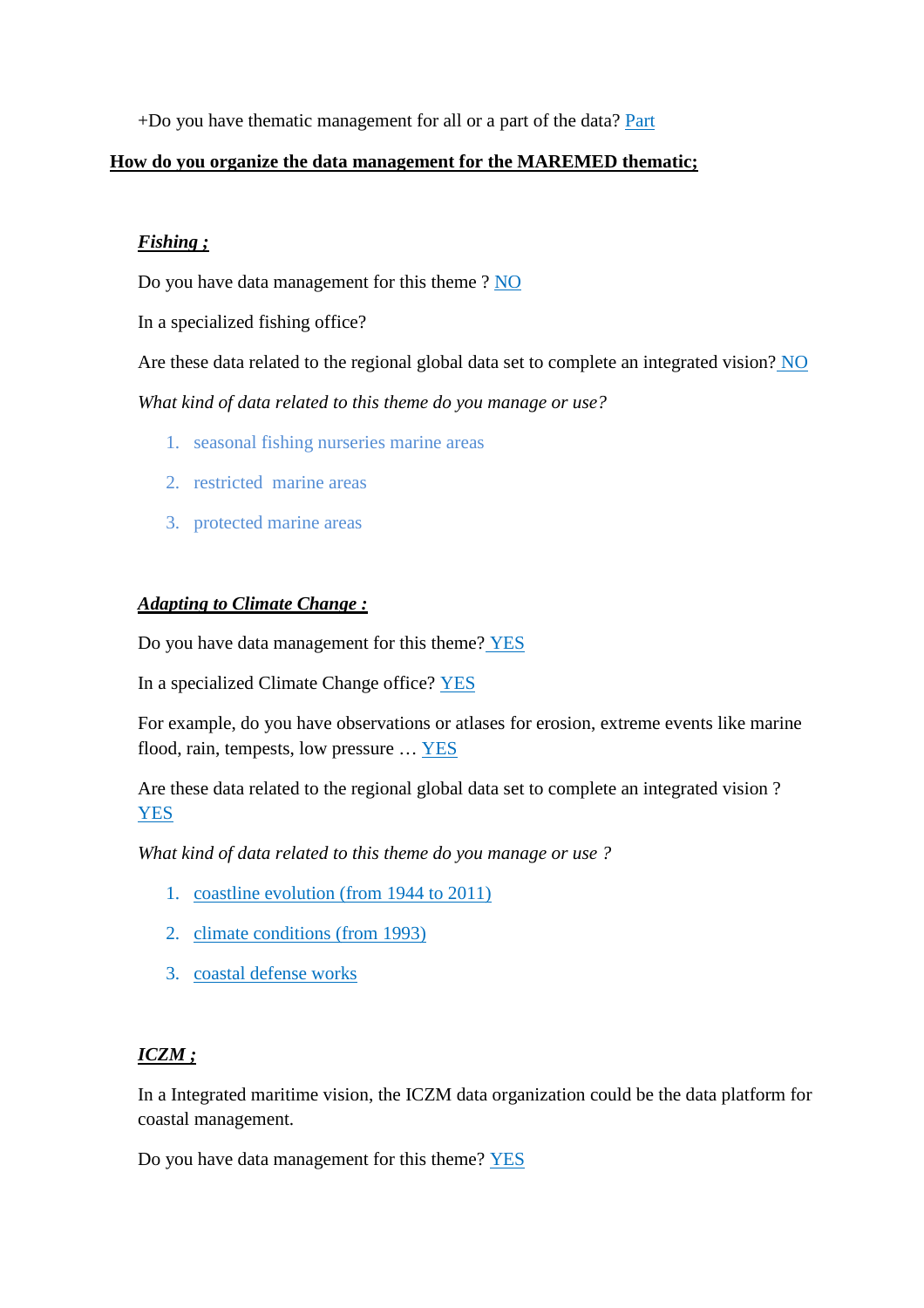+Do you have thematic management for all or a part of the data? Part

#### **How do you organize the data management for the MAREMED thematic;**

### *Fishing ;*

Do you have data management for this theme ? NO

In a specialized fishing office?

Are these data related to the regional global data set to complete an integrated vision? NO

*What kind of data related to this theme do you manage or use?* 

- 1. seasonal fishing nurseries marine areas
- 2. restricted marine areas
- 3. protected marine areas

### *Adapting to Climate Change :*

Do you have data management for this theme? YES

In a specialized Climate Change office? YES

For example, do you have observations or atlases for erosion, extreme events like marine flood, rain, tempests, low pressure … YES

Are these data related to the regional global data set to complete an integrated vision ? **YES** 

*What kind of data related to this theme do you manage or use ?* 

- 1. coastline evolution (from 1944 to 2011)
- 2. climate conditions (from 1993)
- 3. coastal defense works

### *ICZM ;*

In a Integrated maritime vision, the ICZM data organization could be the data platform for coastal management.

Do you have data management for this theme? YES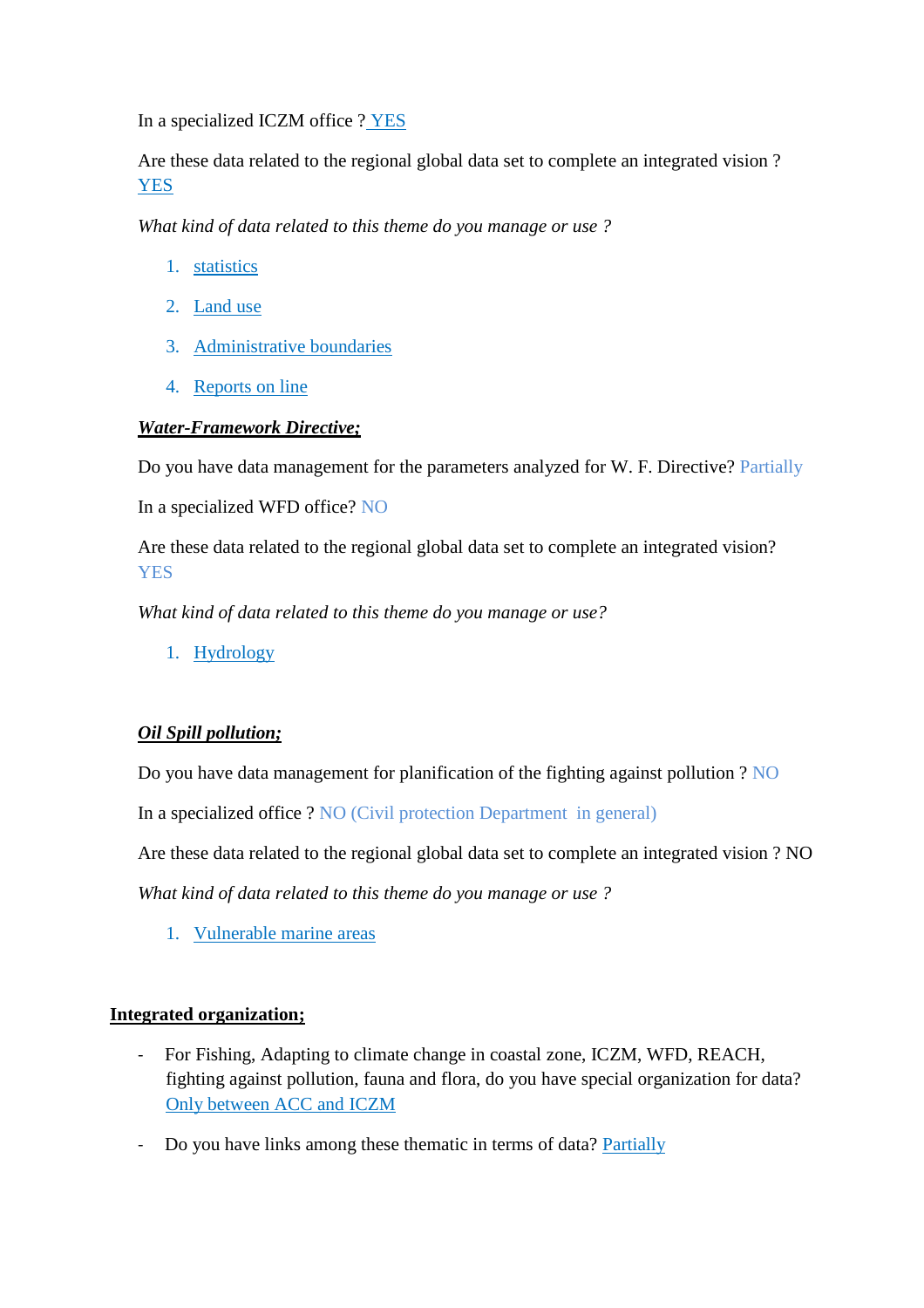In a specialized ICZM office ? YES

Are these data related to the regional global data set to complete an integrated vision ? YES

*What kind of data related to this theme do you manage or use ?* 

- 1. statistics
- 2. Land use
- 3. Administrative boundaries
- 4. Reports on line

### *Water-Framework Directive;*

Do you have data management for the parameters analyzed for W. F. Directive? Partially

In a specialized WFD office? NO

Are these data related to the regional global data set to complete an integrated vision? **YES** 

*What kind of data related to this theme do you manage or use?* 

1. Hydrology

### *Oil Spill pollution;*

Do you have data management for planification of the fighting against pollution ? NO

In a specialized office ? NO (Civil protection Department in general)

Are these data related to the regional global data set to complete an integrated vision ? NO

*What kind of data related to this theme do you manage or use ?* 

1. Vulnerable marine areas

### **Integrated organization;**

- For Fishing, Adapting to climate change in coastal zone, ICZM, WFD, REACH, fighting against pollution, fauna and flora, do you have special organization for data? Only between ACC and ICZM
- Do you have links among these thematic in terms of data? Partially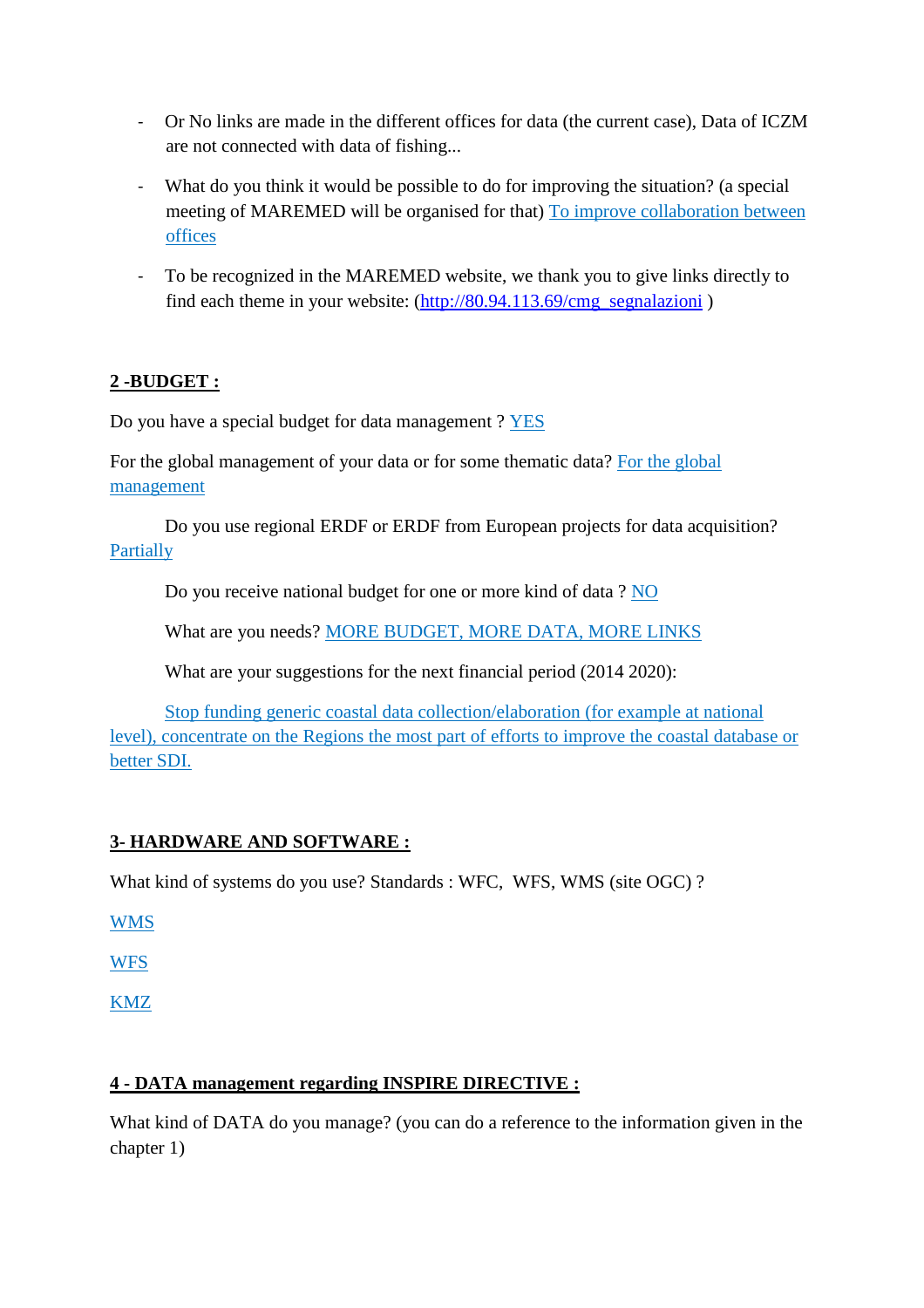- Or No links are made in the different offices for data (the current case), Data of ICZM are not connected with data of fishing...
- What do you think it would be possible to do for improving the situation? (a special meeting of MAREMED will be organised for that) To improve collaboration between offices
- To be recognized in the MAREMED website, we thank you to give links directly to find each theme in your website: (http://80.94.113.69/cmg\_segnalazioni )

# **2 -BUDGET :**

Do you have a special budget for data management ? YES

For the global management of your data or for some thematic data? For the global management

Do you use regional ERDF or ERDF from European projects for data acquisition? Partially

Do you receive national budget for one or more kind of data ? NO

What are you needs? MORE BUDGET, MORE DATA, MORE LINKS

What are your suggestions for the next financial period (2014 2020):

Stop funding generic coastal data collection/elaboration (for example at national level), concentrate on the Regions the most part of efforts to improve the coastal database or better SDI.

## **3- HARDWARE AND SOFTWARE :**

What kind of systems do you use? Standards : WFC, WFS, WMS (site OGC) ?

WMS

**WFS** 

KMZ

## **4 - DATA management regarding INSPIRE DIRECTIVE :**

What kind of DATA do you manage? (you can do a reference to the information given in the chapter 1)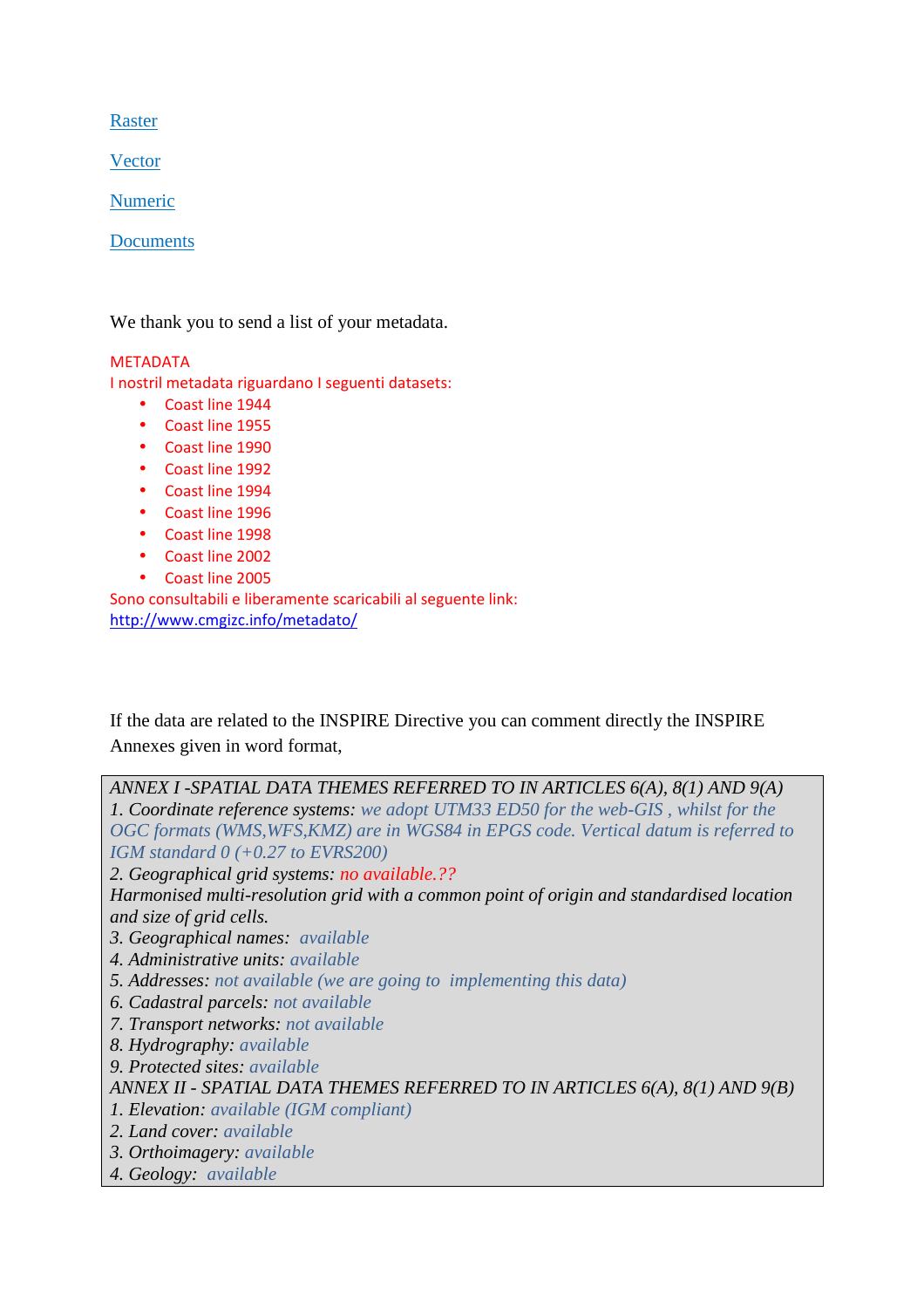Raster

Vector

Numeric

Documents

We thank you to send a list of your metadata.

#### **MFTADATA**

I nostril metadata riguardano I seguenti datasets:

- Coast line 1944
- Coast line 1955
- Coast line 1990
- Coast line 1992
- Coast line 1994
- Coast line 1996
- Coast line 1998
- Coast line 2002
- Coast line 2005

Sono consultabili e liberamente scaricabili al seguente link: http://www.cmgizc.info/metadato/

If the data are related to the INSPIRE Directive you can comment directly the INSPIRE Annexes given in word format,

*ANNEX I -SPATIAL DATA THEMES REFERRED TO IN ARTICLES 6(A), 8(1) AND 9(A) 1. Coordinate reference systems: we adopt UTM33 ED50 for the web-GIS , whilst for the OGC formats (WMS,WFS,KMZ) are in WGS84 in EPGS code. Vertical datum is referred to IGM standard 0 (+0.27 to EVRS200) 2. Geographical grid systems: no available.?? Harmonised multi-resolution grid with a common point of origin and standardised location and size of grid cells. 3. Geographical names: available 4. Administrative units: available 5. Addresses: not available (we are going to implementing this data) 6. Cadastral parcels: not available 7. Transport networks: not available 8. Hydrography: available 9. Protected sites: available ANNEX II - SPATIAL DATA THEMES REFERRED TO IN ARTICLES 6(A), 8(1) AND 9(B) 1. Elevation: available (IGM compliant) 2. Land cover: available 3. Orthoimagery: available 4. Geology: available*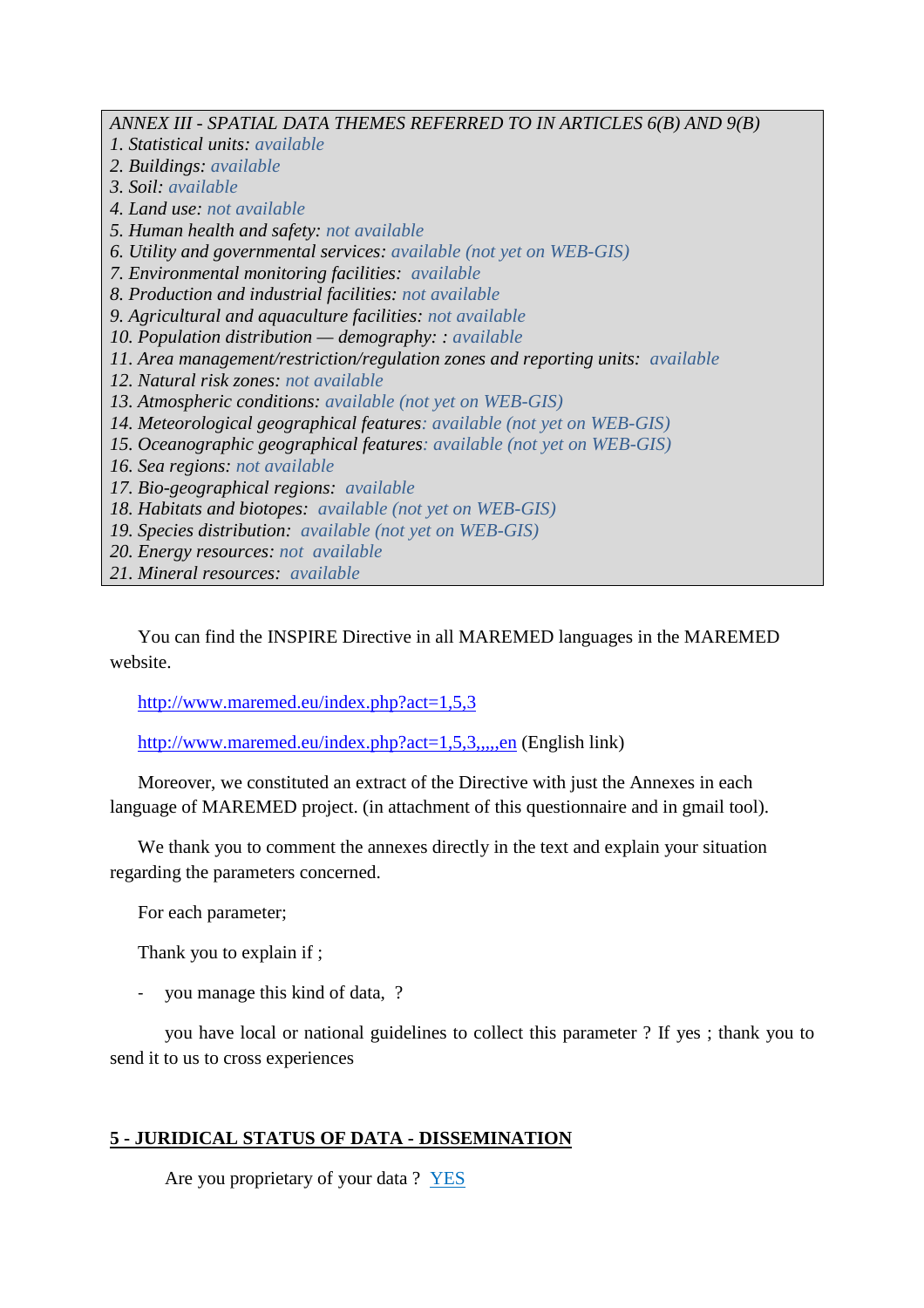*ANNEX III - SPATIAL DATA THEMES REFERRED TO IN ARTICLES 6(B) AND 9(B) 1. Statistical units: available 2. Buildings: available 3. Soil: available 4. Land use: not available 5. Human health and safety: not available 6. Utility and governmental services: available (not yet on WEB-GIS) 7. Environmental monitoring facilities: available 8. Production and industrial facilities: not available 9. Agricultural and aquaculture facilities: not available 10. Population distribution — demography: : available 11. Area management/restriction/regulation zones and reporting units: available 12. Natural risk zones: not available 13. Atmospheric conditions: available (not yet on WEB-GIS) 14. Meteorological geographical features: available (not yet on WEB-GIS) 15. Oceanographic geographical features: available (not yet on WEB-GIS) 16. Sea regions: not available 17. Bio-geographical regions: available 18. Habitats and biotopes: available (not yet on WEB-GIS) 19. Species distribution: available (not yet on WEB-GIS) 20. Energy resources: not available* 

*21. Mineral resources: available* 

You can find the INSPIRE Directive in all MAREMED languages in the MAREMED website.

http://www.maremed.eu/index.php?act=1,5,3

http://www.maremed.eu/index.php?act=1,5,3,,,,,en (English link)

Moreover, we constituted an extract of the Directive with just the Annexes in each language of MAREMED project. (in attachment of this questionnaire and in gmail tool).

We thank you to comment the annexes directly in the text and explain your situation regarding the parameters concerned.

For each parameter;

Thank you to explain if ;

you manage this kind of data, ?

you have local or national guidelines to collect this parameter ? If yes ; thank you to send it to us to cross experiences

#### **5 - JURIDICAL STATUS OF DATA - DISSEMINATION**

Are you proprietary of your data ? YES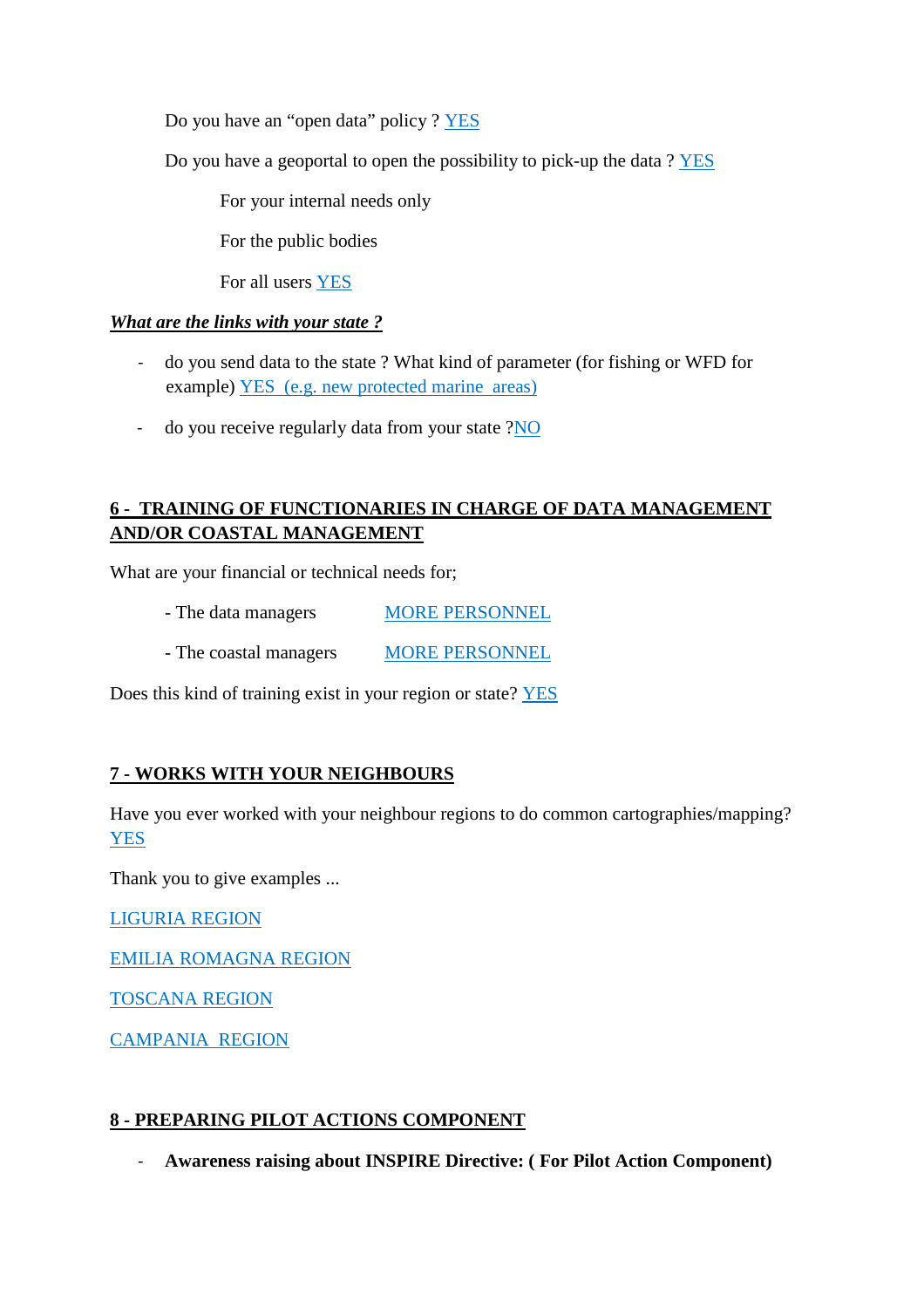Do you have an "open data" policy ? YES

Do you have a geoportal to open the possibility to pick-up the data ? YES

For your internal needs only

For the public bodies

For all users YES

### *What are the links with your state ?*

- do you send data to the state ? What kind of parameter (for fishing or WFD for example) YES (e.g. new protected marine areas)
- do you receive regularly data from your state ?NO

# **6 - TRAINING OF FUNCTIONARIES IN CHARGE OF DATA MANAGEMENT AND/OR COASTAL MANAGEMENT**

What are your financial or technical needs for;

- The data managers MORE PERSONNEL
- The coastal managers MORE PERSONNEL

Does this kind of training exist in your region or state? YES

### **7 - WORKS WITH YOUR NEIGHBOURS**

Have you ever worked with your neighbour regions to do common cartographies/mapping? YES

Thank you to give examples ...

LIGURIA REGION

EMILIA ROMAGNA REGION

TOSCANA REGION

CAMPANIA REGION

### **8 - PREPARING PILOT ACTIONS COMPONENT**

- **Awareness raising about INSPIRE Directive: ( For Pilot Action Component)**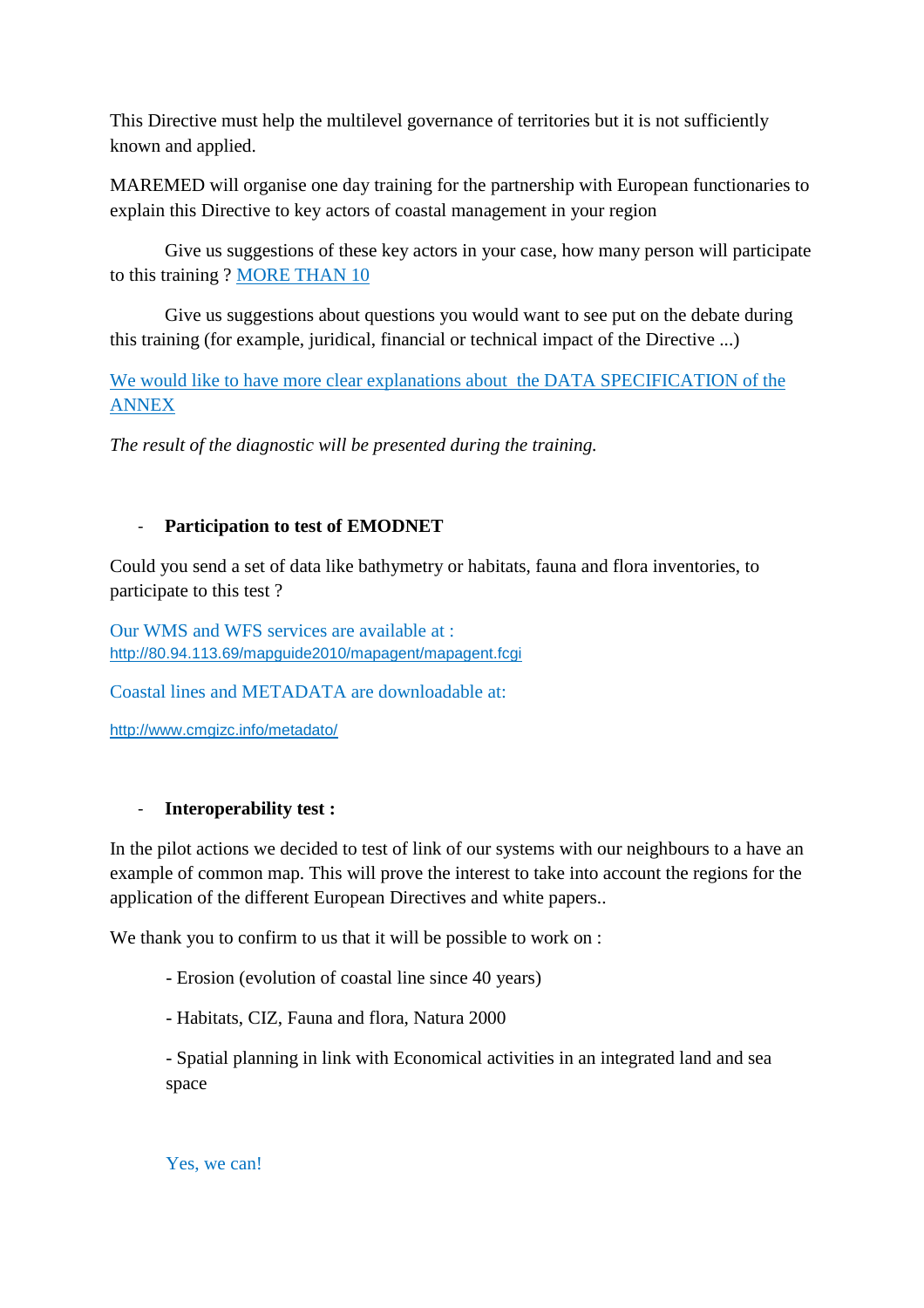This Directive must help the multilevel governance of territories but it is not sufficiently known and applied.

MAREMED will organise one day training for the partnership with European functionaries to explain this Directive to key actors of coastal management in your region

 Give us suggestions of these key actors in your case, how many person will participate to this training ? MORE THAN 10

 Give us suggestions about questions you would want to see put on the debate during this training (for example, juridical, financial or technical impact of the Directive ...)

We would like to have more clear explanations about the DATA SPECIFICATION of the ANNEX

*The result of the diagnostic will be presented during the training.* 

## - **Participation to test of EMODNET**

Could you send a set of data like bathymetry or habitats, fauna and flora inventories, to participate to this test ?

Our WMS and WFS services are available at : http://80.94.113.69/mapguide2010/mapagent/mapagent.fcgi

Coastal lines and METADATA are downloadable at:

http://www.cmgizc.info/metadato/

### - **Interoperability test :**

In the pilot actions we decided to test of link of our systems with our neighbours to a have an example of common map. This will prove the interest to take into account the regions for the application of the different European Directives and white papers..

We thank you to confirm to us that it will be possible to work on :

- Erosion (evolution of coastal line since 40 years)
- Habitats, CIZ, Fauna and flora, Natura 2000

- Spatial planning in link with Economical activities in an integrated land and sea space

Yes, we can!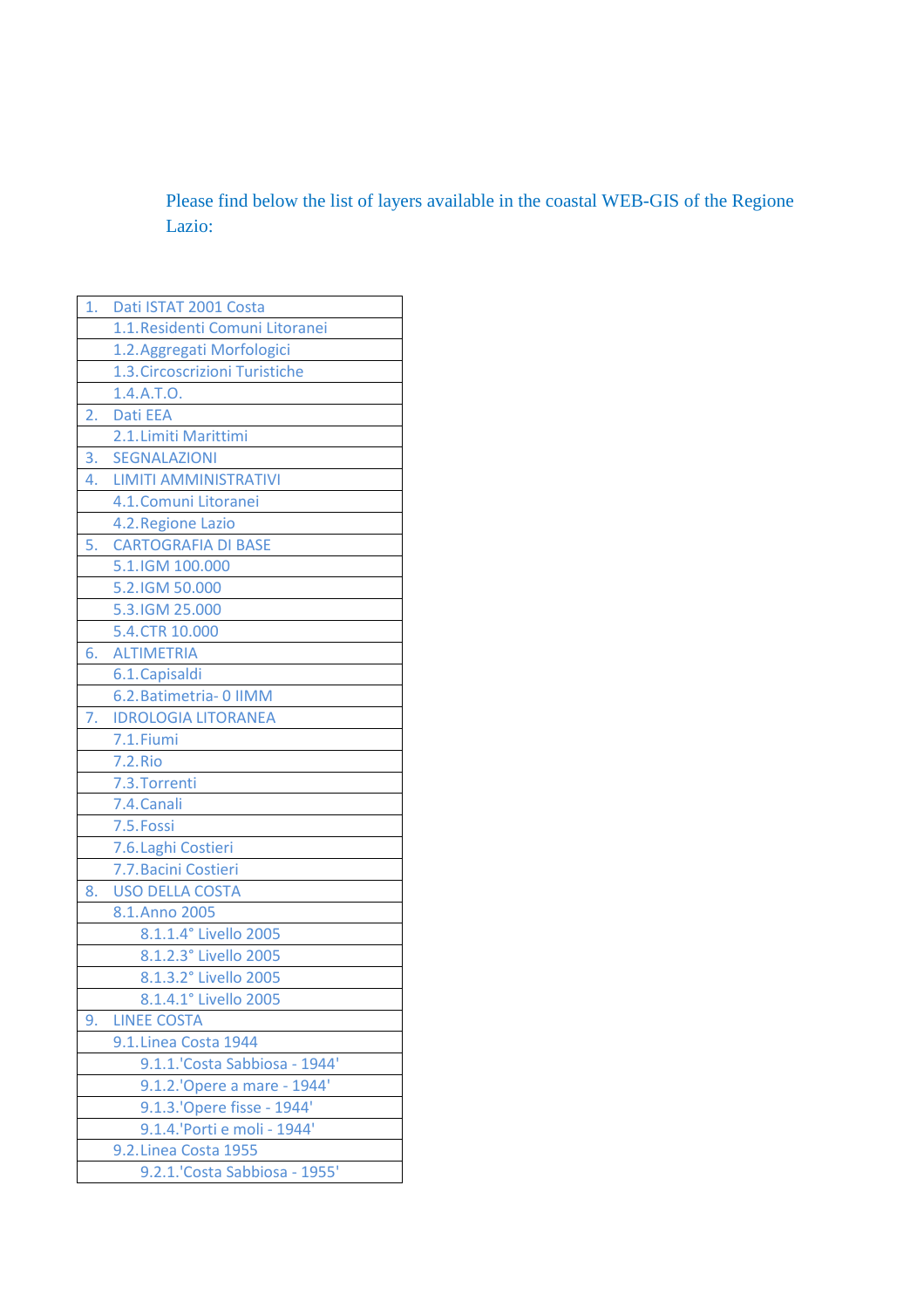Please find below the list of layers available in the coastal WEB-GIS of the Regione Lazio:

| 1. | Dati ISTAT 2001 Costa           |  |
|----|---------------------------------|--|
|    | 1.1. Residenti Comuni Litoranei |  |
|    | 1.2. Aggregati Morfologici      |  |
|    | 1.3. Circoscrizioni Turistiche  |  |
|    | 1.4.A.T.O.                      |  |
| 2. | <b>Dati EEA</b>                 |  |
|    | 2.1. Limiti Marittimi           |  |
| 3. | <b>SEGNALAZIONI</b>             |  |
| 4. | LIMITI AMMINISTRATIVI           |  |
|    | 4.1. Comuni Litoranei           |  |
|    | 4.2. Regione Lazio              |  |
| 5. | <b>CARTOGRAFIA DI BASE</b>      |  |
|    | 5.1.IGM 100.000                 |  |
|    | 5.2.IGM 50.000                  |  |
|    | 5.3.IGM 25.000                  |  |
|    | 5.4.CTR 10.000                  |  |
| 6. | <b>ALTIMETRIA</b>               |  |
|    | 6.1. Capisaldi                  |  |
|    | 6.2. Batimetria- 0 IIMM         |  |
| 7. | <b>IDROLOGIA LITORANEA</b>      |  |
|    | 7.1. Fiumi                      |  |
|    | <b>7.2.Rio</b>                  |  |
|    | 7.3. Torrenti                   |  |
|    | 7.4. Canali                     |  |
|    | 7.5. Fossi                      |  |
|    | 7.6. Laghi Costieri             |  |
|    | 7.7. Bacini Costieri            |  |
| 8. | <b>USO DELLA COSTA</b>          |  |
|    | 8.1.Anno 2005                   |  |
|    | 8.1.1.4° Livello 2005           |  |
|    | 8.1.2.3° Livello 2005           |  |
|    | 8.1.3.2° Livello 2005           |  |
|    | 8.1.4.1° Livello 2005           |  |
| 9. | <b>LINEE COSTA</b>              |  |
|    | 9.1. Linea Costa 1944           |  |
|    | 9.1.1. 'Costa Sabbiosa - 1944'  |  |
|    | 9.1.2.' Opere a mare - 1944'    |  |
|    | 9.1.3.'Opere fisse - 1944'      |  |
|    | 9.1.4.'Porti e moli - 1944'     |  |
|    | 9.2. Linea Costa 1955           |  |
|    | 9.2.1.'Costa Sabbiosa - 1955'   |  |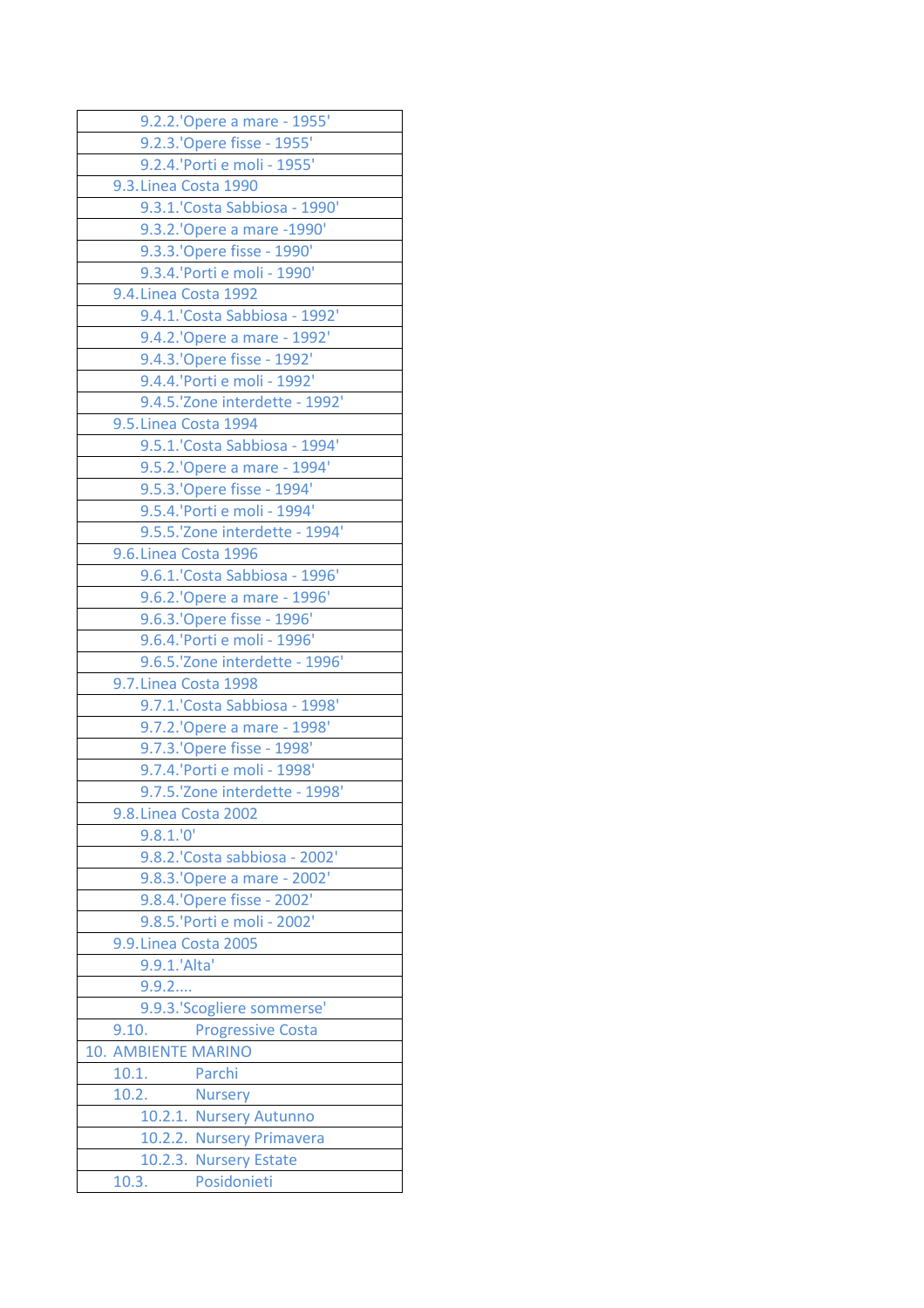| 9.2.2.'Opere a mare - 1955'       |  |  |  |
|-----------------------------------|--|--|--|
| 9.2.3.'Opere fisse - 1955'        |  |  |  |
| 9.2.4.'Porti e moli - 1955'       |  |  |  |
| 9.3. Linea Costa 1990             |  |  |  |
| 9.3.1.'Costa Sabbiosa - 1990'     |  |  |  |
| 9.3.2.'Opere a mare -1990'        |  |  |  |
| 9.3.3.'Opere fisse - 1990'        |  |  |  |
| 9.3.4.'Porti e moli - 1990'       |  |  |  |
| 9.4. Linea Costa 1992             |  |  |  |
| 9.4.1.'Costa Sabbiosa - 1992'     |  |  |  |
| 9.4.2.'Opere a mare - 1992'       |  |  |  |
| 9.4.3.' Opere fisse - 1992'       |  |  |  |
| 9.4.4.'Porti e moli - 1992'       |  |  |  |
| 9.4.5.'Zone interdette - 1992'    |  |  |  |
| 9.5. Linea Costa 1994             |  |  |  |
| 9.5.1.'Costa Sabbiosa - 1994'     |  |  |  |
| 9.5.2.' Opere a mare - 1994'      |  |  |  |
| 9.5.3.'Opere fisse - 1994'        |  |  |  |
| 9.5.4.'Porti e moli - 1994'       |  |  |  |
| 9.5.5.'Zone interdette - 1994'    |  |  |  |
| 9.6. Linea Costa 1996             |  |  |  |
|                                   |  |  |  |
| 9.6.1. Costa Sabbiosa - 1996'     |  |  |  |
| 9.6.2.'Opere a mare - 1996'       |  |  |  |
| 9.6.3.'Opere fisse - 1996'        |  |  |  |
| 9.6.4.'Porti e moli - 1996'       |  |  |  |
| 9.6.5.'Zone interdette - 1996'    |  |  |  |
| 9.7. Linea Costa 1998             |  |  |  |
| 9.7.1.'Costa Sabbiosa - 1998'     |  |  |  |
| 9.7.2.' Opere a mare - 1998'      |  |  |  |
| 9.7.3.'Opere fisse - 1998'        |  |  |  |
| 9.7.4.'Porti e moli - 1998'       |  |  |  |
| 9.7.5.'Zone interdette - 1998'    |  |  |  |
| 9.8. Linea Costa 2002             |  |  |  |
| 9.8.1.0                           |  |  |  |
| 9.8.2. 'Costa sabbiosa - 2002'    |  |  |  |
| 9.8.3.'Opere a mare - 2002'       |  |  |  |
| 9.8.4.'Opere fisse - 2002'        |  |  |  |
| 9.8.5.'Porti e moli - 2002'       |  |  |  |
| 9.9. Linea Costa 2005             |  |  |  |
| 9.9.1.'Alta'                      |  |  |  |
| 9.9.2                             |  |  |  |
| 9.9.3.'Scogliere sommerse'        |  |  |  |
| 9.10.<br><b>Progressive Costa</b> |  |  |  |
| 10. AMBIENTE MARINO               |  |  |  |
| Parchi<br>10.1.                   |  |  |  |
| 10.2.<br><b>Nursery</b>           |  |  |  |
| 10.2.1. Nursery Autunno           |  |  |  |
| 10.2.2. Nursery Primavera         |  |  |  |
| 10.2.3. Nursery Estate            |  |  |  |
| Posidonieti<br>10.3.              |  |  |  |
|                                   |  |  |  |